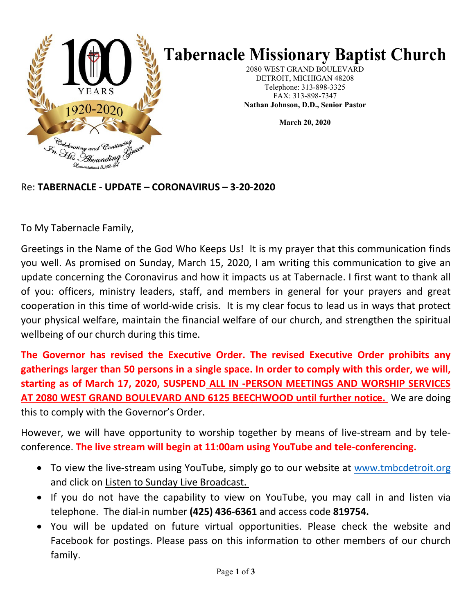

# **Tabernacle Missionary Baptist Church**

2080 WEST GRAND BOULEVARD DETROIT, MICHIGAN 48208 Telephone: 313-898-3325 FAX: 313-898-7347 **Nathan Johnson, D.D., Senior Pastor**

**March 20, 2020**

#### Re: **TABERNACLE - UPDATE – CORONAVIRUS – 3-20-2020**

To My Tabernacle Family,

Greetings in the Name of the God Who Keeps Us! It is my prayer that this communication finds you well. As promised on Sunday, March 15, 2020, I am writing this communication to give an update concerning the Coronavirus and how it impacts us at Tabernacle. I first want to thank all of you: officers, ministry leaders, staff, and members in general for your prayers and great cooperation in this time of world-wide crisis. It is my clear focus to lead us in ways that protect your physical welfare, maintain the financial welfare of our church, and strengthen the spiritual wellbeing of our church during this time.

**The Governor has revised the Executive Order. The revised Executive Order prohibits any gatherings larger than 50 persons in a single space. In order to comply with this order, we will, starting as of March 17, 2020, SUSPEND ALL IN -PERSON MEETINGS AND WORSHIP SERVICES AT 2080 WEST GRAND BOULEVARD AND 6125 BEECHWOOD until further notice.** We are doing this to comply with the Governor's Order.

However, we will have opportunity to worship together by means of live-stream and by teleconference. **The live stream will begin at 11:00am using YouTube and tele-conferencing.**

- To view the live-stream using YouTube, simply go to our website at [www.tmbcdetroit.org](http://www.tmbcdetroit.org/) and click on Listen to Sunday Live Broadcast.
- If you do not have the capability to view on YouTube, you may call in and listen via telephone. The dial-in number **(425) 436-6361** and access code **819754.**
- You will be updated on future virtual opportunities. Please check the website and Facebook for postings. Please pass on this information to other members of our church family.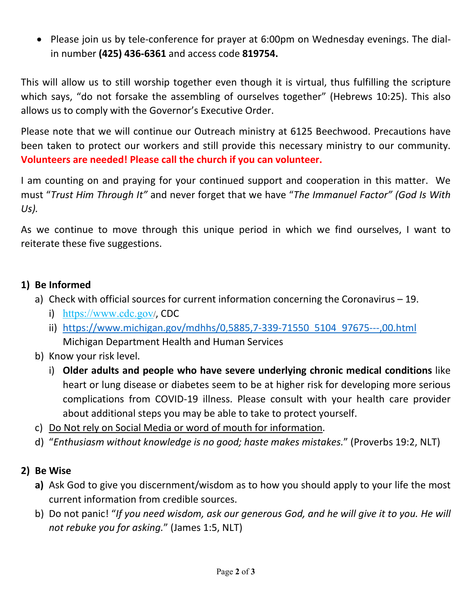• Please join us by tele-conference for prayer at 6:00pm on Wednesday evenings. The dialin number **(425) 436-6361** and access code **819754.**

This will allow us to still worship together even though it is virtual, thus fulfilling the scripture which says, "do not forsake the assembling of ourselves together" (Hebrews 10:25). This also allows us to comply with the Governor's Executive Order.

Please note that we will continue our Outreach ministry at 6125 Beechwood. Precautions have been taken to protect our workers and still provide this necessary ministry to our community. **Volunteers are needed! Please call the church if you can volunteer.**

I am counting on and praying for your continued support and cooperation in this matter. We must "*Trust Him Through It"* and never forget that we have "*The Immanuel Factor" (God Is With Us).*

As we continue to move through this unique period in which we find ourselves, I want to reiterate these five suggestions.

#### **1) Be Informed**

- a) Check with official sources for current information concerning the Coronavirus 19.
	- i) <https://www.cdc.gov/>, CDC
	- ii) [https://www.michigan.gov/mdhhs/0,5885,7-339-71550\\_5104\\_97675---,00.html](https://www.michigan.gov/mdhhs/0,5885,7-339-71550_5104_97675---,00.html) Michigan Department Health and Human Services
- b) Know your risk level.
	- i) **Older adults and people who have severe underlying chronic medical conditions** like heart or lung disease or diabetes seem to be at higher risk for developing more serious complications from COVID-19 illness. Please consult with your health care provider about additional steps you may be able to take to protect yourself.
- c) Do Not rely on Social Media or word of mouth for information.
- d) "*Enthusiasm without knowledge is no good; haste makes mistakes.*" (Proverbs 19:2, NLT)

## **2) Be Wise**

- **a)** Ask God to give you discernment/wisdom as to how you should apply to your life the most current information from credible sources.
- b) Do not panic! "If you need wisdom, ask our generous God, and he will give it to you. He will *not rebuke you for asking.*" (James 1:5, NLT)